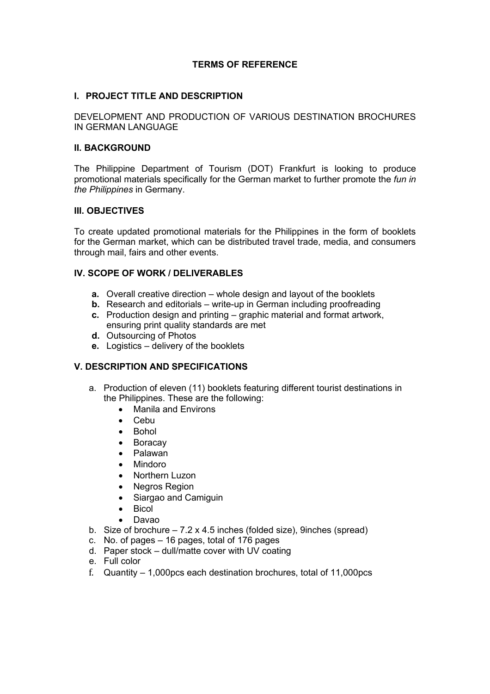### **TERMS OF REFERENCE**

### **I. PROJECT TITLE AND DESCRIPTION**

DEVELOPMENT AND PRODUCTION OF VARIOUS DESTINATION BROCHURES IN GERMAN LANGUAGE

### **II. BACKGROUND**

The Philippine Department of Tourism (DOT) Frankfurt is looking to produce promotional materials specifically for the German market to further promote the *fun in the Philippines* in Germany.

### **III. OBJECTIVES**

To create updated promotional materials for the Philippines in the form of booklets for the German market, which can be distributed travel trade, media, and consumers through mail, fairs and other events.

### **IV. SCOPE OF WORK / DELIVERABLES**

- **a.** Overall creative direction whole design and layout of the booklets
- **b.** Research and editorials write-up in German including proofreading
- **c.** Production design and printing graphic material and format artwork, ensuring print quality standards are met
- **d.** Outsourcing of Photos
- **e.** Logistics delivery of the booklets

### **V. DESCRIPTION AND SPECIFICATIONS**

- a. Production of eleven (11) booklets featuring different tourist destinations in the Philippines. These are the following:
	- Manila and Environs
	- Cebu
	- Bohol
	- **Boracay**
	- Palawan
	- Mindoro
	- Northern Luzon
	- Negros Region
	- Siargao and Camiguin
	- Bicol
	- Davao
- b. Size of brochure  $-7.2 \times 4.5$  inches (folded size), 9inches (spread)
- c. No. of pages 16 pages, total of 176 pages
- d. Paper stock dull/matte cover with UV coating
- e. Full color
- f. Quantity 1,000pcs each destination brochures, total of 11,000pcs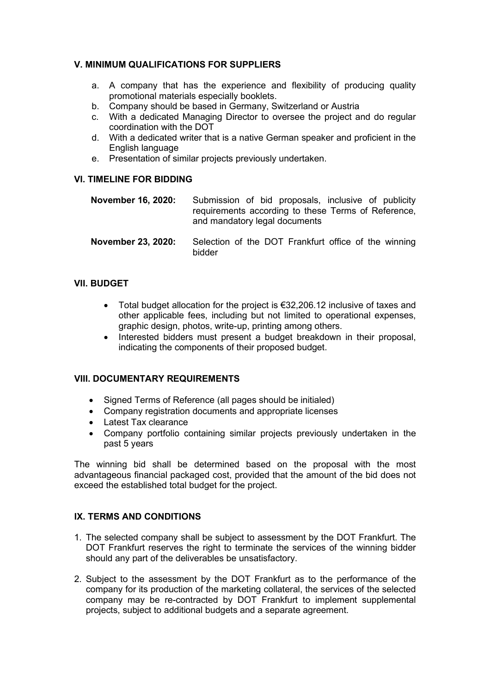### **V. MINIMUM QUALIFICATIONS FOR SUPPLIERS**

- a. A company that has the experience and flexibility of producing quality promotional materials especially booklets.
- b. Company should be based in Germany, Switzerland or Austria
- c. With a dedicated Managing Director to oversee the project and do regular coordination with the DOT
- d. With a dedicated writer that is a native German speaker and proficient in the English language
- e. Presentation of similar projects previously undertaken.

# **VI. TIMELINE FOR BIDDING**

| November 16, 2020: | Submission of bid proposals, inclusive of publicity |
|--------------------|-----------------------------------------------------|
|                    | requirements according to these Terms of Reference, |
|                    | and mandatory legal documents                       |

**November 23, 2020:** Selection of the DOT Frankfurt office of the winning bidder

### **VII. BUDGET**

- Total budget allocation for the project is  $€32,206.12$  inclusive of taxes and other applicable fees, including but not limited to operational expenses, graphic design, photos, write-up, printing among others.
- Interested bidders must present a budget breakdown in their proposal, indicating the components of their proposed budget.

### **VIII. DOCUMENTARY REQUIREMENTS**

- Signed Terms of Reference (all pages should be initialed)
- Company registration documents and appropriate licenses
- Latest Tax clearance
- Company portfolio containing similar projects previously undertaken in the past 5 years

The winning bid shall be determined based on the proposal with the most advantageous financial packaged cost, provided that the amount of the bid does not exceed the established total budget for the project.

### **IX. TERMS AND CONDITIONS**

- 1. The selected company shall be subject to assessment by the DOT Frankfurt. The DOT Frankfurt reserves the right to terminate the services of the winning bidder should any part of the deliverables be unsatisfactory.
- 2. Subject to the assessment by the DOT Frankfurt as to the performance of the company for its production of the marketing collateral, the services of the selected company may be re-contracted by DOT Frankfurt to implement supplemental projects, subject to additional budgets and a separate agreement.